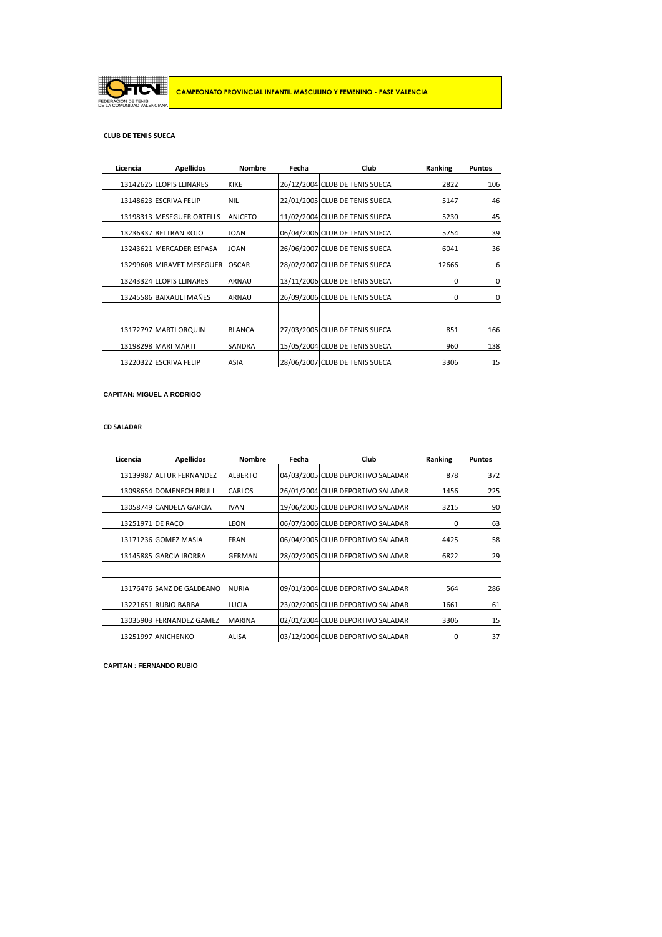

### **CLUB DE TENIS SUECA**

| Licencia | <b>Apellidos</b>          | <b>Nombre</b>  | Fecha | Club                           | Ranking | <b>Puntos</b> |
|----------|---------------------------|----------------|-------|--------------------------------|---------|---------------|
|          | 13142625 LLOPIS LLINARES  | <b>KIKE</b>    |       | 26/12/2004 CLUB DE TENIS SUECA | 2822    | 106           |
|          | 13148623 ESCRIVA FELIP    | <b>NIL</b>     |       | 22/01/2005 CLUB DE TENIS SUECA | 5147    | 46            |
|          | 13198313 MESEGUER ORTELLS | <b>ANICETO</b> |       | 11/02/2004 CLUB DE TENIS SUECA | 5230    | 45            |
|          | 13236337 BELTRAN ROJO     | <b>JOAN</b>    |       | 06/04/2006 CLUB DE TENIS SUECA | 5754    | 39            |
|          | 13243621 MERCADER ESPASA  | <b>JOAN</b>    |       | 26/06/2007 CLUB DE TENIS SUECA | 6041    | 36            |
|          | 13299608 MIRAVET MESEGUER | <b>OSCAR</b>   |       | 28/02/2007 CLUB DE TENIS SUECA | 12666   | 6             |
|          | 13243324 LLOPIS LLINARES  | <b>ARNAU</b>   |       | 13/11/2006 CLUB DE TENIS SUECA | 0       | $\mathbf 0$   |
|          | 13245586 BAIXAULI MAÑES   | <b>ARNAU</b>   |       | 26/09/2006 CLUB DE TENIS SUECA | 0       | $\mathbf{0}$  |
|          |                           |                |       |                                |         |               |
|          | 13172797 MARTI ORQUIN     | <b>BLANCA</b>  |       | 27/03/2005 CLUB DE TENIS SUECA | 851     | 166           |
|          | 13198298 MARI MARTI       | <b>SANDRA</b>  |       | 15/05/2004 CLUB DE TENIS SUECA | 960     | 138           |
|          | 13220322 ESCRIVA FELIP    | <b>ASIA</b>    |       | 28/06/2007 CLUB DE TENIS SUECA | 3306    | 15            |

**CAPITAN: MIGUEL A RODRIGO**

#### **CD SALADAR**

| Licencia         | <b>Apellidos</b>          | <b>Nombre</b>  | Fecha | Club                              | Ranking | <b>Puntos</b> |
|------------------|---------------------------|----------------|-------|-----------------------------------|---------|---------------|
|                  | 13139987 ALTUR FERNANDEZ  | <b>ALBERTO</b> |       | 04/03/2005 CLUB DEPORTIVO SALADAR | 878     | 372           |
|                  | 13098654 DOMENECH BRULL   | CARLOS         |       | 26/01/2004 CLUB DEPORTIVO SALADAR | 1456    | 225           |
|                  | 13058749 CANDELA GARCIA   | <b>IVAN</b>    |       | 19/06/2005 CLUB DEPORTIVO SALADAR | 3215    | 90            |
| 13251971 DE RACO |                           | <b>LEON</b>    |       | 06/07/2006 CLUB DEPORTIVO SALADAR | 0       | 63            |
|                  | 13171236 GOMEZ MASIA      | <b>FRAN</b>    |       | 06/04/2005 CLUB DEPORTIVO SALADAR | 4425    | 58            |
|                  | 13145885 GARCIA IBORRA    | GERMAN         |       | 28/02/2005 CLUB DEPORTIVO SALADAR | 6822    | 29            |
|                  |                           |                |       |                                   |         |               |
|                  | 13176476 SANZ DE GALDEANO | <b>NURIA</b>   |       | 09/01/2004 CLUB DEPORTIVO SALADAR | 564     | 286           |
|                  | 13221651 RUBIO BARBA      | <b>LUCIA</b>   |       | 23/02/2005 CLUB DEPORTIVO SALADAR | 1661    | 61            |
|                  | 13035903 FERNANDEZ GAMEZ  | <b>MARINA</b>  |       | 02/01/2004 CLUB DEPORTIVO SALADAR | 3306    | 15            |
|                  | 13251997 ANICHENKO        | ALISA          |       | 03/12/2004 CLUB DEPORTIVO SALADAR | 0       | 37            |

**CAPITAN : FERNANDO RUBIO**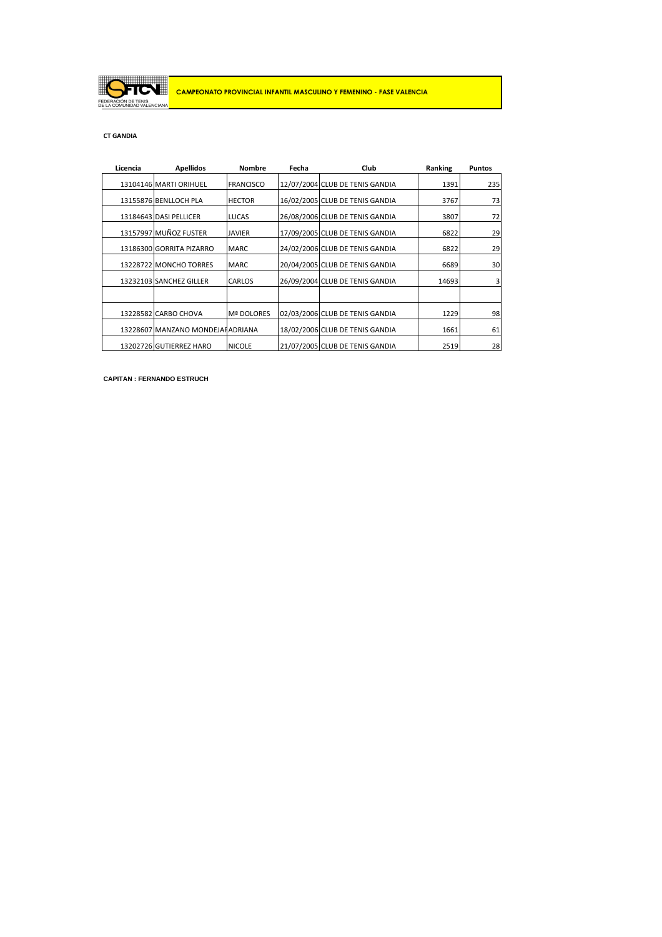

### **CT GANDIA**

| Licencia | <b>Apellidos</b>                  | <b>Nombre</b>    | Fecha | Club                            | Ranking | <b>Puntos</b> |
|----------|-----------------------------------|------------------|-------|---------------------------------|---------|---------------|
|          | 13104146 MARTI ORIHUEL            | <b>FRANCISCO</b> |       | 12/07/2004 CLUB DE TENIS GANDIA | 1391    | 235           |
|          | 13155876 BENLLOCH PLA             | <b>HECTOR</b>    |       | 16/02/2005 CLUB DE TENIS GANDIA | 3767    | 73            |
|          | 13184643 DASI PELLICER            | <b>LUCAS</b>     |       | 26/08/2006 CLUB DE TENIS GANDIA | 3807    | 72            |
|          | 13157997 MUÑOZ FUSTER             | <b>JAVIER</b>    |       | 17/09/2005 CLUB DE TENIS GANDIA | 6822    | 29            |
|          | 13186300 GORRITA PIZARRO          | <b>MARC</b>      |       | 24/02/2006 CLUB DE TENIS GANDIA | 6822    | 29            |
|          | 13228722 MONCHO TORRES            | <b>MARC</b>      |       | 20/04/2005 CLUB DE TENIS GANDIA | 6689    | 30            |
|          | 13232103 SANCHEZ GILLER           | CARLOS           |       | 26/09/2004 CLUB DE TENIS GANDIA | 14693   | 3             |
|          |                                   |                  |       |                                 |         |               |
|          | 13228582 CARBO CHOVA              | Mª DOLORES       |       | 02/03/2006 CLUB DE TENIS GANDIA | 1229    | 98            |
|          | 13228607 MANZANO MONDEJAI ADRIANA |                  |       | 18/02/2006 CLUB DE TENIS GANDIA | 1661    | 61            |
|          | 13202726 GUTIERREZ HARO           | <b>NICOLE</b>    |       | 21/07/2005 CLUB DE TENIS GANDIA | 2519    | 28            |

**CAPITAN : FERNANDO ESTRUCH**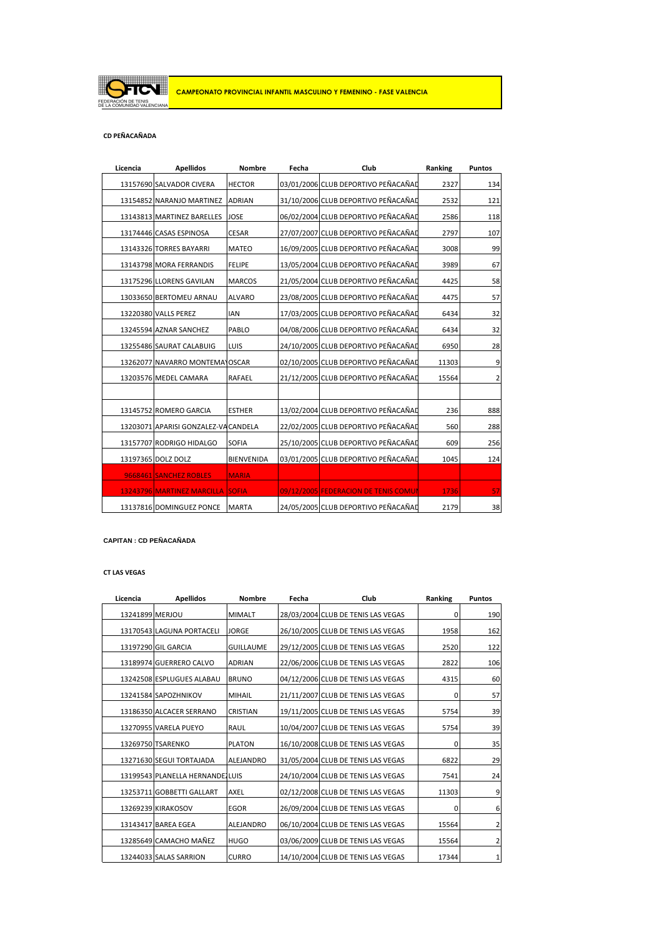

# **CD PEÑACAÑADA**

| Licencia | <b>Apellidos</b>                     | <b>Nombre</b>     | Fecha | Club                                 | Ranking | <b>Puntos</b>  |
|----------|--------------------------------------|-------------------|-------|--------------------------------------|---------|----------------|
|          | 13157690 SALVADOR CIVERA             | <b>HECTOR</b>     |       | 03/01/2006 CLUB DEPORTIVO PEÑACAÑAD  | 2327    | 134            |
|          | 13154852 NARANJO MARTINEZ            | <b>ADRIAN</b>     |       | 31/10/2006 CLUB DEPORTIVO PEÑACAÑAD  | 2532    | 121            |
|          | 13143813 MARTINEZ BARELLES           | <b>JOSE</b>       |       | 06/02/2004 CLUB DEPORTIVO PEÑACAÑAD  | 2586    | 118            |
|          | 13174446 CASAS ESPINOSA              | <b>CESAR</b>      |       | 27/07/2007 CLUB DEPORTIVO PEÑACAÑAD  | 2797    | 107            |
|          | 13143326 TORRES BAYARRI              | <b>MATEO</b>      |       | 16/09/2005 CLUB DEPORTIVO PEÑACAÑAD  | 3008    | 99             |
|          | 13143798 MORA FERRANDIS              | <b>FELIPE</b>     |       | 13/05/2004 CLUB DEPORTIVO PEÑACAÑAD  | 3989    | 67             |
|          | 13175296 LLORENS GAVILAN             | <b>MARCOS</b>     |       | 21/05/2004 CLUB DEPORTIVO PEÑACAÑAD  | 4425    | 58             |
|          | 13033650 BERTOMEU ARNAU              | <b>ALVARO</b>     |       | 23/08/2005 CLUB DEPORTIVO PEÑACAÑAD  | 4475    | 57             |
|          | 13220380 VALLS PEREZ                 | <b>IAN</b>        |       | 17/03/2005 CLUB DEPORTIVO PEÑACAÑAD  | 6434    | 32             |
|          | 13245594 AZNAR SANCHEZ               | PABLO             |       | 04/08/2006 CLUB DEPORTIVO PEÑACAÑAD  | 6434    | 32             |
|          | 13255486 SAURAT CALABUIG             | LUIS              |       | 24/10/2005 CLUB DEPORTIVO PEÑACAÑAD  | 6950    | 28             |
|          | 13262077 NAVARRO MONTEMA OSCAR       |                   |       | 02/10/2005 CLUB DEPORTIVO PEÑACAÑAD  | 11303   | $9\,$          |
|          | 13203576 MEDEL CAMARA                | RAFAEL            |       | 21/12/2005 CLUB DEPORTIVO PEÑACAÑAD  | 15564   | $\overline{2}$ |
|          |                                      |                   |       |                                      |         |                |
|          | 13145752 ROMERO GARCIA               | <b>ESTHER</b>     |       | 13/02/2004 CLUB DEPORTIVO PEÑACAÑAD  | 236     | 888            |
|          | 13203071 APARISI GONZALEZ-VA CANDELA |                   |       | 22/02/2005 CLUB DEPORTIVO PEÑACAÑAD  | 560     | 288            |
|          | 13157707 RODRIGO HIDALGO             | <b>SOFIA</b>      |       | 25/10/2005 CLUB DEPORTIVO PEÑACAÑAD  | 609     | 256            |
|          | 13197365 DOLZ DOLZ                   | <b>BIENVENIDA</b> |       | 03/01/2005 CLUB DEPORTIVO PEÑACAÑAD  | 1045    | 124            |
|          | 9668461 SANCHEZ ROBLES               | <b>MARIA</b>      |       |                                      |         |                |
|          | 13243796 MARTINEZ MARCILLA SOFIA     |                   |       | 09/12/2005 FEDERACION DE TENIS COMUN | 1736    | 57             |
|          | 13137816 DOMINGUEZ PONCE             | <b>MARTA</b>      |       | 24/05/2005 CLUB DEPORTIVO PEÑACAÑAD  | 2179    | 38             |

**CAPITAN : CD PEÑACAÑADA**

**CT LAS VEGAS**

| Licencia        | <b>Apellidos</b>                | <b>Nombre</b>    | Fecha | Club                               | Ranking | <b>Puntos</b> |
|-----------------|---------------------------------|------------------|-------|------------------------------------|---------|---------------|
| 13241899 MERJOU |                                 | <b>MIMALT</b>    |       | 28/03/2004 CLUB DE TENIS LAS VEGAS | 0       | 190           |
|                 | 13170543 LAGUNA PORTACELI       | <b>JORGE</b>     |       | 26/10/2005 CLUB DE TENIS LAS VEGAS | 1958    | 162           |
|                 | 13197290 GIL GARCIA             | <b>GUILLAUME</b> |       | 29/12/2005 CLUB DE TENIS LAS VEGAS | 2520    | 122           |
|                 | 13189974 GUERRERO CALVO         | <b>ADRIAN</b>    |       | 22/06/2006 CLUB DE TENIS LAS VEGAS | 2822    | 106           |
|                 | 13242508 ESPLUGUES ALABAU       | <b>BRUNO</b>     |       | 04/12/2006 CLUB DE TENIS LAS VEGAS | 4315    | 60            |
|                 | 13241584 SAPOZHNIKOV            | <b>MIHAIL</b>    |       | 21/11/2007 CLUB DE TENIS LAS VEGAS | 0       | 57            |
|                 | 13186350 ALCACER SERRANO        | <b>CRISTIAN</b>  |       | 19/11/2005 CLUB DE TENIS LAS VEGAS | 5754    | 39            |
|                 | 13270955 VARELA PUEYO           | <b>RAUL</b>      |       | 10/04/2007 CLUB DE TENIS LAS VEGAS | 5754    | 39            |
|                 | 13269750 TSARENKO               | <b>PLATON</b>    |       | 16/10/2008 CLUB DE TENIS LAS VEGAS | 0       | 35            |
|                 | 13271630 SEGUI TORTAJADA        | <b>ALEJANDRO</b> |       | 31/05/2004 CLUB DE TENIS LAS VEGAS | 6822    | 29            |
|                 | 13199543 PLANELLA HERNANDEILUIS |                  |       | 24/10/2004 CLUB DE TENIS LAS VEGAS | 7541    | 24            |
|                 | 13253711 GOBBETTI GALLART       | <b>AXEL</b>      |       | 02/12/2008 CLUB DE TENIS LAS VEGAS | 11303   | 9             |
|                 | 13269239 KIRAKOSOV              | <b>EGOR</b>      |       | 26/09/2004 CLUB DE TENIS LAS VEGAS | 0       | 6             |
|                 | 13143417 BAREA EGEA             | <b>ALEJANDRO</b> |       | 06/10/2004 CLUB DE TENIS LAS VEGAS | 15564   | 2             |
|                 | 13285649 CAMACHO MAÑEZ          | <b>HUGO</b>      |       | 03/06/2009 CLUB DE TENIS LAS VEGAS | 15564   | 2             |
|                 | 13244033 SALAS SARRION          | <b>CURRO</b>     |       | 14/10/2004 CLUB DE TENIS LAS VEGAS | 17344   |               |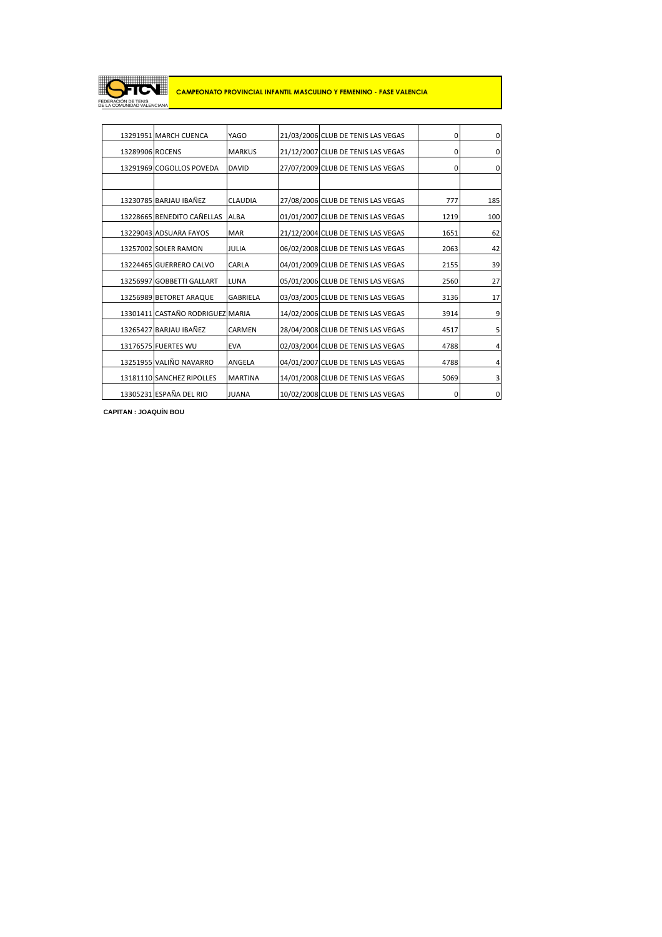

|                 | 13291951 MARCH CUENCA            | YAGO            | 21/03/2006 CLUB DE TENIS LAS VEGAS | 0    | 0           |
|-----------------|----------------------------------|-----------------|------------------------------------|------|-------------|
| 13289906 ROCENS |                                  | <b>MARKUS</b>   | 21/12/2007 CLUB DE TENIS LAS VEGAS | 0    | $\mathbf 0$ |
|                 | 13291969 COGOLLOS POVEDA         | <b>DAVID</b>    | 27/07/2009 CLUB DE TENIS LAS VEGAS | 0    | 0           |
|                 |                                  |                 |                                    |      |             |
|                 | 13230785 BARJAU IBAÑEZ           | <b>CLAUDIA</b>  | 27/08/2006 CLUB DE TENIS LAS VEGAS | 777  | 185         |
|                 | 13228665 BENEDITO CAÑELLAS       | <b>ALBA</b>     | 01/01/2007 CLUB DE TENIS LAS VEGAS | 1219 | 100         |
|                 | 13229043 ADSUARA FAYOS           | <b>MAR</b>      | 21/12/2004 CLUB DE TENIS LAS VEGAS | 1651 | 62          |
|                 | 13257002 SOLER RAMON             | <b>JULIA</b>    | 06/02/2008 CLUB DE TENIS LAS VEGAS | 2063 | 42          |
|                 | 13224465 GUERRERO CALVO          | CARLA           | 04/01/2009 CLUB DE TENIS LAS VEGAS | 2155 | 39          |
|                 | 13256997 GOBBETTI GALLART        | <b>LUNA</b>     | 05/01/2006 CLUB DE TENIS LAS VEGAS | 2560 | 27          |
|                 | 13256989 BETORET ARAQUE          | <b>GABRIELA</b> | 03/03/2005 CLUB DE TENIS LAS VEGAS | 3136 | 17          |
|                 | 13301411 CASTAÑO RODRIGUEZ MARIA |                 | 14/02/2006 CLUB DE TENIS LAS VEGAS | 3914 | 9           |
|                 | 13265427 BARJAU IBAÑEZ           | CARMEN          | 28/04/2008 CLUB DE TENIS LAS VEGAS | 4517 | 5           |
|                 | 13176575 FUERTES WU              | <b>EVA</b>      | 02/03/2004 CLUB DE TENIS LAS VEGAS | 4788 | 4           |
|                 | 13251955 VALIÑO NAVARRO          | ANGELA          | 04/01/2007 CLUB DE TENIS LAS VEGAS | 4788 | 4           |
|                 | 13181110 SANCHEZ RIPOLLES        | <b>MARTINA</b>  | 14/01/2008 CLUB DE TENIS LAS VEGAS | 5069 | 3           |
|                 | 13305231 ESPAÑA DEL RIO          | <b>JUANA</b>    | 10/02/2008 CLUB DE TENIS LAS VEGAS | 0    | 0           |

**CAPITAN : JOAQUÍN BOU**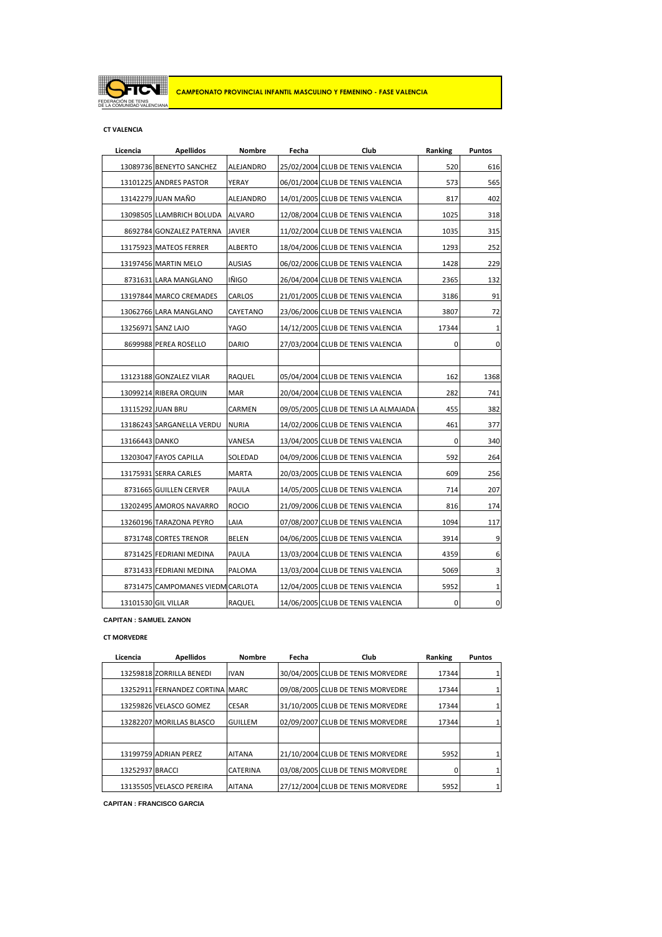

### **CT VALENCIA**

| Licencia       | <b>Apellidos</b>                 | Nombre         | Fecha | Club                                 | Ranking | Puntos |
|----------------|----------------------------------|----------------|-------|--------------------------------------|---------|--------|
|                | 13089736 BENEYTO SANCHEZ         | ALEJANDRO      |       | 25/02/2004 CLUB DE TENIS VALENCIA    | 520     | 616    |
|                | 13101225 ANDRES PASTOR           | YERAY          |       | 06/01/2004 CLUB DE TENIS VALENCIA    | 573     | 565    |
|                | 13142279 JUAN MAÑO               | ALEJANDRO      |       | 14/01/2005 CLUB DE TENIS VALENCIA    | 817     | 402    |
|                | 13098505 LLAMBRICH BOLUDA        | <b>ALVARO</b>  |       | 12/08/2004 CLUB DE TENIS VALENCIA    | 1025    | 318    |
|                | 8692784 GONZALEZ PATERNA         | <b>JAVIER</b>  |       | 11/02/2004 CLUB DE TENIS VALENCIA    | 1035    | 315    |
|                | 13175923 MATEOS FERRER           | <b>ALBERTO</b> |       | 18/04/2006 CLUB DE TENIS VALENCIA    | 1293    | 252    |
|                | 13197456 MARTIN MELO             | AUSIAS         |       | 06/02/2006 CLUB DE TENIS VALENCIA    | 1428    | 229    |
|                | 8731631 LARA MANGLANO            | IÑIGO          |       | 26/04/2004 CLUB DE TENIS VALENCIA    | 2365    | 132    |
|                | 13197844 MARCO CREMADES          | CARLOS         |       | 21/01/2005 CLUB DE TENIS VALENCIA    | 3186    | 91     |
|                | 13062766 LARA MANGLANO           | CAYETANO       |       | 23/06/2006 CLUB DE TENIS VALENCIA    | 3807    | 72     |
|                | 13256971 SANZ LAJO               | YAGO           |       | 14/12/2005 CLUB DE TENIS VALENCIA    | 17344   | 1      |
|                | 8699988 PEREA ROSELLO            | DARIO          |       | 27/03/2004 CLUB DE TENIS VALENCIA    | 0       | 0      |
|                |                                  |                |       |                                      |         |        |
|                | 13123188 GONZALEZ VILAR          | RAQUEL         |       | 05/04/2004 CLUB DE TENIS VALENCIA    | 162     | 1368   |
|                | 13099214 RIBERA ORQUIN           | <b>MAR</b>     |       | 20/04/2004 CLUB DE TENIS VALENCIA    | 282     | 741    |
|                | 13115292 JUAN BRU                | CARMEN         |       | 09/05/2005 CLUB DE TENIS LA ALMAJADA | 455     | 382    |
|                | 13186243 SARGANELLA VERDU        | <b>NURIA</b>   |       | 14/02/2006 CLUB DE TENIS VALENCIA    | 461     | 377    |
| 13166443 DANKO |                                  | VANESA         |       | 13/04/2005 CLUB DE TENIS VALENCIA    | 0       | 340    |
|                | 13203047 FAYOS CAPILLA           | SOLEDAD        |       | 04/09/2006 CLUB DE TENIS VALENCIA    | 592     | 264    |
|                | 13175931 SERRA CARLES            | <b>MARTA</b>   |       | 20/03/2005 CLUB DE TENIS VALENCIA    | 609     | 256    |
|                | 8731665 GUILLEN CERVER           | PAULA          |       | 14/05/2005 CLUB DE TENIS VALENCIA    | 714     | 207    |
|                | 13202495 AMOROS NAVARRO          | ROCIO          |       | 21/09/2006 CLUB DE TENIS VALENCIA    | 816     | 174    |
|                | 13260196 TARAZONA PEYRO          | LAIA           |       | 07/08/2007 CLUB DE TENIS VALENCIA    | 1094    | 117    |
|                | 8731748 CORTES TRENOR            | BELEN          |       | 04/06/2005 CLUB DE TENIS VALENCIA    | 3914    | 9      |
|                | 8731425 FEDRIANI MEDINA          | PAULA          |       | 13/03/2004 CLUB DE TENIS VALENCIA    | 4359    | 6      |
|                | 8731433 FEDRIANI MEDINA          | PALOMA         |       | 13/03/2004 CLUB DE TENIS VALENCIA    | 5069    | 3      |
|                | 8731475 CAMPOMANES VIEDM CARLOTA |                |       | 12/04/2005 CLUB DE TENIS VALENCIA    | 5952    | 1      |
|                | 13101530 GIL VILLAR              | RAQUEL         |       | 14/06/2005 CLUB DE TENIS VALENCIA    | 0       | 0      |

**CAPITAN : SAMUEL ZANON**

#### **CT MORVEDRE**

| Licencia        | <b>Apellidos</b>                | <b>Nombre</b>   | Fecha | Club                              | Ranking | <b>Puntos</b> |
|-----------------|---------------------------------|-----------------|-------|-----------------------------------|---------|---------------|
|                 | 13259818 ZORRILLA BENEDI        | <b>IVAN</b>     |       | 30/04/2005 CLUB DE TENIS MORVEDRE | 17344   | 1             |
|                 | 13252911 FERNANDEZ CORTINA MARC |                 |       | 09/08/2005 CLUB DE TENIS MORVEDRE | 17344   | $\mathbf{1}$  |
|                 | 13259826 VELASCO GOMEZ          | <b>CESAR</b>    |       | 31/10/2005 CLUB DE TENIS MORVEDRE | 17344   | 1             |
|                 | 13282207 MORILLAS BLASCO        | <b>GUILLEM</b>  |       | 02/09/2007 CLUB DE TENIS MORVEDRE | 17344   | 1             |
|                 |                                 |                 |       |                                   |         |               |
|                 | 13199759 ADRIAN PEREZ           | <b>AITANA</b>   |       | 21/10/2004 CLUB DE TENIS MORVEDRE | 5952    | 1             |
| 13252937 BRACCI |                                 | <b>CATERINA</b> |       | 03/08/2005 CLUB DE TENIS MORVEDRE |         | 1             |
|                 | 13135505 VELASCO PEREIRA        | <b>AITANA</b>   |       | 27/12/2004 CLUB DE TENIS MORVEDRE | 5952    | $\mathbf{1}$  |

**CAPITAN : FRANCISCO GARCIA**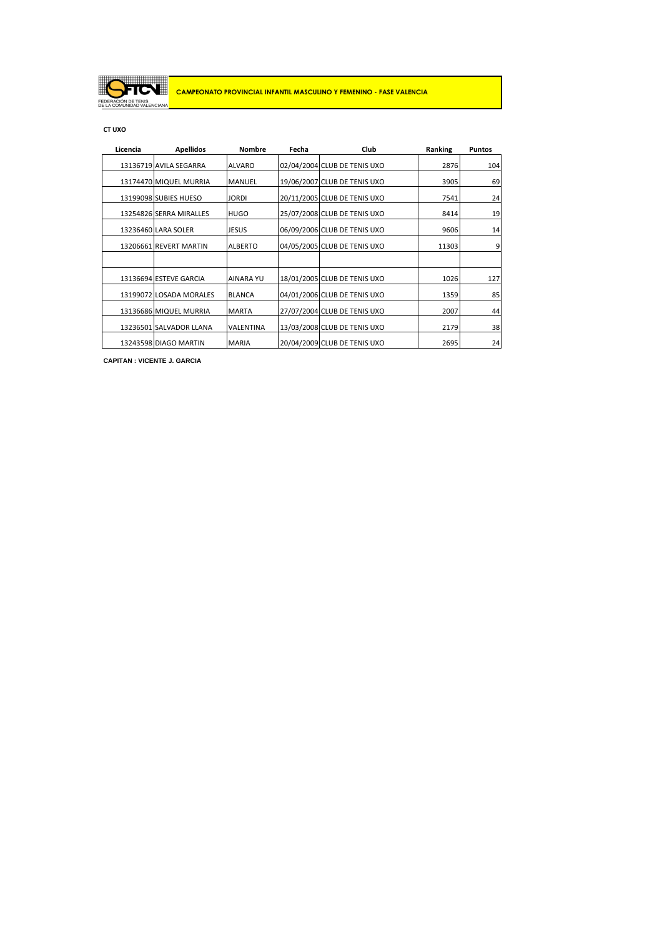

# **CT UXO**

| Licencia | <b>Apellidos</b>        | <b>Nombre</b>    | Fecha | Club                         | Ranking | <b>Puntos</b> |
|----------|-------------------------|------------------|-------|------------------------------|---------|---------------|
|          | 13136719 AVILA SEGARRA  | <b>ALVARO</b>    |       | 02/04/2004 CLUB DE TENIS UXO | 2876    | 104           |
|          | 13174470 MIQUEL MURRIA  | <b>MANUEL</b>    |       | 19/06/2007 CLUB DE TENIS UXO | 3905    | 69            |
|          | 13199098 SUBIES HUESO   | <b>JORDI</b>     |       | 20/11/2005 CLUB DE TENIS UXO | 7541    | 24            |
|          | 13254826 SERRA MIRALLES | <b>HUGO</b>      |       | 25/07/2008 CLUB DE TENIS UXO | 8414    | 19            |
|          | 13236460 LARA SOLER     | <b>JESUS</b>     |       | 06/09/2006 CLUB DE TENIS UXO | 9606    | 14            |
|          | 13206661 REVERT MARTIN  | <b>ALBERTO</b>   |       | 04/05/2005 CLUB DE TENIS UXO | 11303   | 9             |
|          |                         |                  |       |                              |         |               |
|          | 13136694 ESTEVE GARCIA  | <b>AINARA YU</b> |       | 18/01/2005 CLUB DE TENIS UXO | 1026    | 127           |
|          | 13199072 LOSADA MORALES | <b>BLANCA</b>    |       | 04/01/2006 CLUB DE TENIS UXO | 1359    | 85            |
|          | 13136686 MIQUEL MURRIA  | <b>MARTA</b>     |       | 27/07/2004 CLUB DE TENIS UXO | 2007    | 44            |
|          | 13236501 SALVADOR LLANA | <b>VALENTINA</b> |       | 13/03/2008 CLUB DE TENIS UXO | 2179    | 38            |
|          | 13243598 DIAGO MARTIN   | <b>MARIA</b>     |       | 20/04/2009 CLUB DE TENIS UXO | 2695    | 24            |

**CAPITAN : VICENTE J. GARCIA**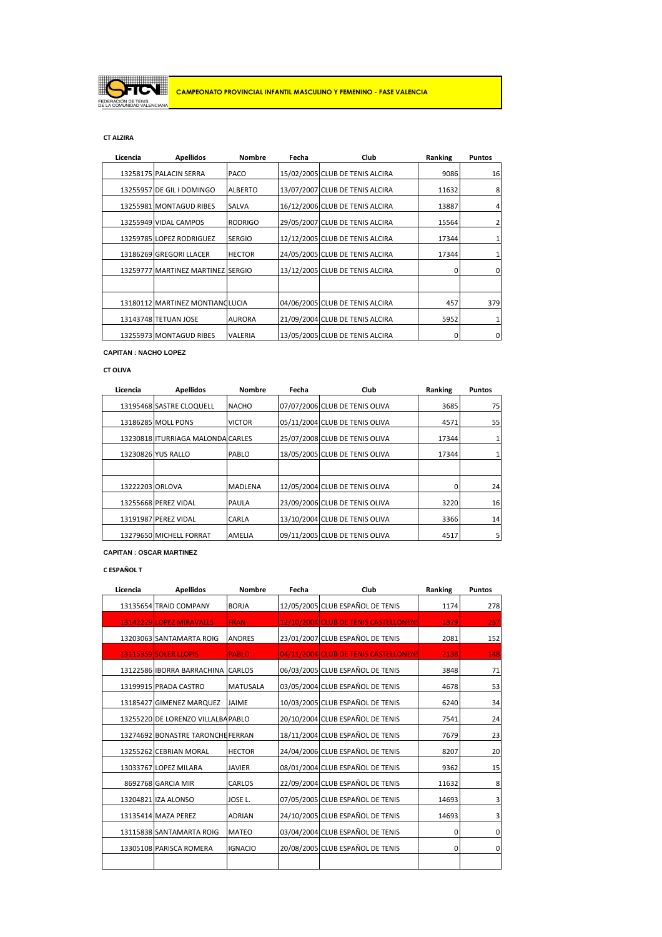

### **CT ALZIRA**

| Licencia | <b>Apellidos</b>                  | <b>Nombre</b>  | Fecha | Club                            | Ranking | <b>Puntos</b>  |
|----------|-----------------------------------|----------------|-------|---------------------------------|---------|----------------|
|          | 13258175 PALACIN SERRA            | PACO           |       | 15/02/2005 CLUB DE TENIS ALCIRA | 9086    | 16             |
|          | 13255957 DE GIL I DOMINGO         | <b>ALBERTO</b> |       | 13/07/2007 CLUB DE TENIS ALCIRA | 11632   | 8              |
|          | 13255981 MONTAGUD RIBES           | <b>SALVA</b>   |       | 16/12/2006 CLUB DE TENIS ALCIRA | 13887   | $\overline{4}$ |
|          | 13255949 VIDAL CAMPOS             | <b>RODRIGO</b> |       | 29/05/2007 CLUB DE TENIS ALCIRA | 15564   | 2              |
|          | 13259785 LOPEZ RODRIGUEZ          | <b>SERGIO</b>  |       | 12/12/2005 CLUB DE TENIS ALCIRA | 17344   | 1              |
|          | 13186269 GREGORI LLACER           | <b>HECTOR</b>  |       | 24/05/2005 CLUB DE TENIS ALCIRA | 17344   | 1              |
|          | 13259777 MARTINEZ MARTINEZ SERGIO |                |       | 13/12/2005 CLUB DE TENIS ALCIRA | 0       | 0              |
|          |                                   |                |       |                                 |         |                |
|          | 13180112 MARTINEZ MONTIANOLUCIA   |                |       | 04/06/2005 CLUB DE TENIS ALCIRA | 457     | 379            |
|          | 13143748 TETUAN JOSE              | <b>AURORA</b>  |       | 21/09/2004 CLUB DE TENIS ALCIRA | 5952    | 1              |
|          | 13255973 MONTAGUD RIBES           | <b>VALERIA</b> |       | 13/05/2005 CLUB DE TENIS ALCIRA | 0       | 0              |

#### **CAPITAN : NACHO LOPEZ**

### **CT OLIVA**

| Licencia | <b>Apellidos</b>                  | <b>Nombre</b>  | Fecha | Club                           | Ranking | <b>Puntos</b>  |
|----------|-----------------------------------|----------------|-------|--------------------------------|---------|----------------|
|          | 13195468 SASTRE CLOQUELL          | <b>NACHO</b>   |       | 07/07/2006 CLUB DE TENIS OLIVA | 3685    | 75             |
|          | 13186285 MOLL PONS                | <b>VICTOR</b>  |       | 05/11/2004 CLUB DE TENIS OLIVA | 4571    | 55             |
|          | 13230818 ITURRIAGA MALONDA CARLES |                |       | 25/07/2008 CLUB DE TENIS OLIVA | 17344   |                |
|          | 13230826 YUS RALLO                | PABLO          |       | 18/05/2005 CLUB DE TENIS OLIVA | 17344   |                |
|          |                                   |                |       |                                |         |                |
|          | 13222203 ORLOVA                   | <b>MADLENA</b> |       | 12/05/2004 CLUB DE TENIS OLIVA | 0       | 24             |
|          | 13255668 PEREZ VIDAL              | <b>PAULA</b>   |       | 23/09/2006 CLUB DE TENIS OLIVA | 3220    | 16             |
|          | 13191987 PEREZ VIDAL              | CARLA          |       | 13/10/2004 CLUB DE TENIS OLIVA | 3366    | 14             |
|          | 13279650 MICHELL FORRAT           | AMELIA         |       | 09/11/2005 CLUB DE TENIS OLIVA | 4517    | 5 <sub>1</sub> |

**CAPITAN : OSCAR MARTINEZ**

**C ESPAÑOL T**

| Licencia | <b>Apellidos</b>                   | <b>Nombre</b>   | Fecha | Club                                  | Ranking | <b>Puntos</b> |
|----------|------------------------------------|-----------------|-------|---------------------------------------|---------|---------------|
|          | 13135654 TRAID COMPANY             | <b>BORJA</b>    |       | 12/05/2005 CLUB ESPAÑOL DE TENIS      | 1174    | 278           |
|          | 13142229 LOPEZ MIRAVALLS           | <b>FRAN</b>     |       | 12/10/2004 CLUB DE TENIS CASTELLONENS | 1379    | 237           |
|          | 13203063 SANTAMARTA ROIG           | <b>ANDRES</b>   |       | 23/01/2007 CLUB ESPAÑOL DE TENIS      | 2081    | 152           |
|          | 13115359 SOLER LLOPIS              | <b>PABLO</b>    |       | 04/11/2004 CLUB DE TENIS CASTELLONENS | 2138    | 148           |
|          | 13122586 IBORRA BARRACHINA CARLOS  |                 |       | 06/03/2005 CLUB ESPAÑOL DE TENIS      | 3848    | 71            |
|          | 13199915 PRADA CASTRO              | <b>MATUSALA</b> |       | 03/05/2004 CLUB ESPAÑOL DE TENIS      | 4678    | 53            |
|          | 13185427 GIMENEZ MARQUEZ           | <b>JAIME</b>    |       | 10/03/2005 CLUB ESPAÑOL DE TENIS      | 6240    | 34            |
|          | 13255220 DE LORENZO VILLALBA PABLO |                 |       | 20/10/2004 CLUB ESPAÑOL DE TENIS      | 7541    | 24            |
|          | 13274692 BONASTRE TARONCHEFERRAN   |                 |       | 18/11/2004 CLUB ESPAÑOL DE TENIS      | 7679    | 23            |
|          | 13255262 CEBRIAN MORAL             | <b>HECTOR</b>   |       | 24/04/2006 CLUB ESPAÑOL DE TENIS      | 8207    | 20            |
|          | 13033767 LOPEZ MILARA              | <b>JAVIER</b>   |       | 08/01/2004 CLUB ESPAÑOL DE TENIS      | 9362    | 15            |
|          | 8692768 GARCIA MIR                 | <b>CARLOS</b>   |       | 22/09/2004 CLUB ESPAÑOL DE TENIS      | 11632   | 8             |
|          | 13204821 IZA ALONSO                | JOSE L.         |       | 07/05/2005 CLUB ESPAÑOL DE TENIS      | 14693   | 3             |
|          | 13135414 MAZA PEREZ                | <b>ADRIAN</b>   |       | 24/10/2005 CLUB ESPAÑOL DE TENIS      | 14693   | 3             |
|          | 13115838 SANTAMARTA ROIG           | <b>MATEO</b>    |       | 03/04/2004 CLUB ESPAÑOL DE TENIS      | 0       | 0             |
|          | 13305108 PARISCA ROMERA            | <b>IGNACIO</b>  |       | 20/08/2005 CLUB ESPAÑOL DE TENIS      | 0       | 0             |
|          |                                    |                 |       |                                       |         |               |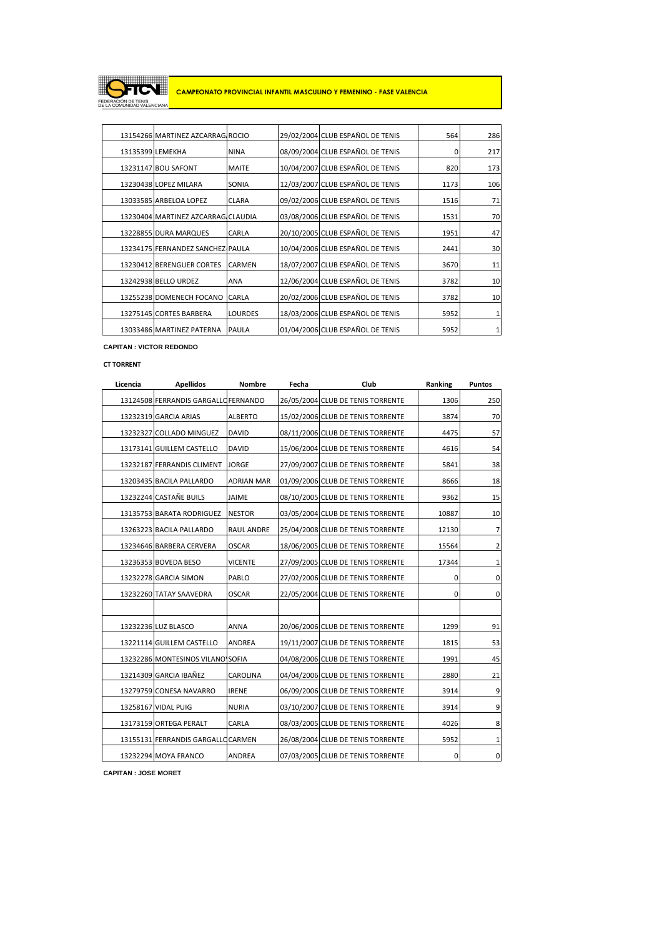

|                  | 13154266 MARTINEZ AZCARRAG ROCIO   |                | 29/02/2004 CLUB ESPAÑOL DE TENIS | 564  | 286 |
|------------------|------------------------------------|----------------|----------------------------------|------|-----|
| 13135399 LEMEKHA |                                    | <b>NINA</b>    | 08/09/2004 CLUB ESPAÑOL DE TENIS | 0    | 217 |
|                  | 13231147 BOU SAFONT                | <b>MAITE</b>   | 10/04/2007 CLUB ESPAÑOL DE TENIS | 820  | 173 |
|                  | 13230438 LOPEZ MILARA              | <b>SONIA</b>   | 12/03/2007 CLUB ESPAÑOL DE TENIS | 1173 | 106 |
|                  | 13033585 ARBELOA LOPEZ             | <b>CLARA</b>   | 09/02/2006 CLUB ESPAÑOL DE TENIS | 1516 | 71  |
|                  | 13230404 MARTINEZ AZCARRAG CLAUDIA |                | 03/08/2006 CLUB ESPAÑOL DE TENIS | 1531 | 70  |
|                  | 13228855 DURA MARQUES              | CARLA          | 20/10/2005 CLUB ESPAÑOL DE TENIS | 1951 | 47  |
|                  | 13234175 FERNANDEZ SANCHEZ PAULA   |                | 10/04/2006 CLUB ESPAÑOL DE TENIS | 2441 | 30  |
|                  | 13230412 BERENGUER CORTES          | <b>CARMEN</b>  | 18/07/2007 CLUB ESPAÑOL DE TENIS | 3670 | 11  |
|                  | 13242938 BELLO URDEZ               | ANA            | 12/06/2004 CLUB ESPAÑOL DE TENIS | 3782 | 10  |
|                  | 13255238 DOMENECH FOCANO           | <b>CARLA</b>   | 20/02/2006 CLUB ESPAÑOL DE TENIS | 3782 | 10  |
|                  | 13275145 CORTES BARBERA            | <b>LOURDES</b> | 18/03/2006 CLUB ESPAÑOL DE TENIS | 5952 | 1   |
|                  | 13033486 MARTINEZ PATERNA          | <b>PAULA</b>   | 01/04/2006 CLUB ESPAÑOL DE TENIS | 5952 | 1   |

**CAPITAN : VICTOR REDONDO** 

### **CT TORRENT**

| Licencia | <b>Apellidos</b>                     |                   | Fecha | Club                              | Ranking | <b>Puntos</b>    |
|----------|--------------------------------------|-------------------|-------|-----------------------------------|---------|------------------|
|          | 13124508 FERRANDIS GARGALLO FERNANDO |                   |       | 26/05/2004 CLUB DE TENIS TORRENTE | 1306    | 250              |
|          | 13232319 GARCIA ARIAS                | <b>ALBERTO</b>    |       | 15/02/2006 CLUB DE TENIS TORRENTE | 3874    | 70               |
|          | 13232327 COLLADO MINGUEZ             | <b>DAVID</b>      |       | 08/11/2006 CLUB DE TENIS TORRENTE | 4475    | 57               |
|          | 13173141 GUILLEM CASTELLO            | <b>DAVID</b>      |       | 15/06/2004 CLUB DE TENIS TORRENTE | 4616    | 54               |
|          | 13232187 FERRANDIS CLIMENT           | <b>JORGE</b>      |       | 27/09/2007 CLUB DE TENIS TORRENTE | 5841    | 38               |
|          | 13203435 BACILA PALLARDO             | <b>ADRIAN MAR</b> |       | 01/09/2006 CLUB DE TENIS TORRENTE | 8666    | 18               |
|          | 13232244 CASTAÑE BUILS               | <b>JAIME</b>      |       | 08/10/2005 CLUB DE TENIS TORRENTE | 9362    | 15               |
|          | 13135753 BARATA RODRIGUEZ            | <b>NESTOR</b>     |       | 03/05/2004 CLUB DE TENIS TORRENTE | 10887   | 10               |
|          | 13263223 BACILA PALLARDO             | <b>RAUL ANDRE</b> |       | 25/04/2008 CLUB DE TENIS TORRENTE | 12130   | $\overline{7}$   |
|          | 13234646 BARBERA CERVERA             | <b>OSCAR</b>      |       | 18/06/2005 CLUB DE TENIS TORRENTE | 15564   | $\overline{2}$   |
|          | 13236353 BOVEDA BESO                 | <b>VICENTE</b>    |       | 27/09/2005 CLUB DE TENIS TORRENTE | 17344   | $1\vert$         |
|          | 13232278 GARCIA SIMON                | PABLO             |       | 27/02/2006 CLUB DE TENIS TORRENTE | 0       | $\mathbf 0$      |
|          | 13232260 TATAY SAAVEDRA              | <b>OSCAR</b>      |       | 22/05/2004 CLUB DE TENIS TORRENTE | 0       | $\mathbf{0}$     |
|          |                                      |                   |       |                                   |         |                  |
|          | 13232236 LUZ BLASCO                  | <b>ANNA</b>       |       | 20/06/2006 CLUB DE TENIS TORRENTE | 1299    | 91               |
|          | 13221114 GUILLEM CASTELLO            | <b>ANDREA</b>     |       | 19/11/2007 CLUB DE TENIS TORRENTE | 1815    | 53               |
|          | 13232286 MONTESINOS VILANO SOFIA     |                   |       | 04/08/2006 CLUB DE TENIS TORRENTE | 1991    | 45               |
|          | 13214309 GARCIA IBAÑEZ               | CAROLINA          |       | 04/04/2006 CLUB DE TENIS TORRENTE | 2880    | 21               |
|          | 13279759 CONESA NAVARRO              | <b>IRENE</b>      |       | 06/09/2006 CLUB DE TENIS TORRENTE | 3914    | $9\,$            |
|          | 13258167 VIDAL PUIG                  | <b>NURIA</b>      |       | 03/10/2007 CLUB DE TENIS TORRENTE | 3914    | 9                |
|          | 13173159 ORTEGA PERALT               | CARLA             |       | 08/03/2005 CLUB DE TENIS TORRENTE | 4026    | $8\phantom{.}$   |
|          | 13155131 FERRANDIS GARGALLO CARMEN   |                   |       | 26/08/2004 CLUB DE TENIS TORRENTE | 5952    | $1\,$            |
|          | 13232294 MOYA FRANCO                 | ANDREA            |       | 07/03/2005 CLUB DE TENIS TORRENTE | 0       | $\boldsymbol{0}$ |

**CAPITAN : JOSE MORET**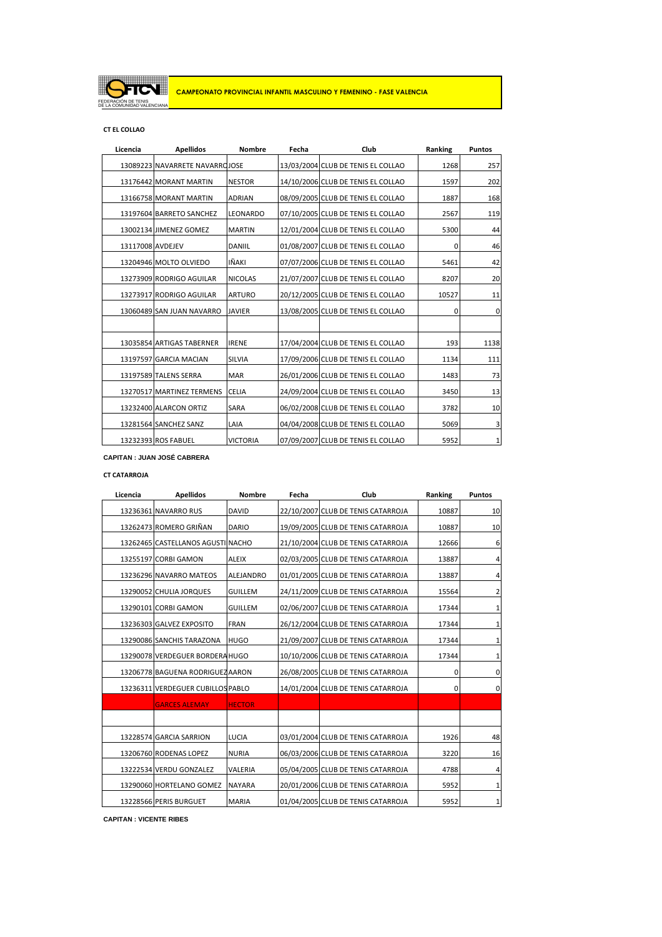

### **CT EL COLLAO**

| Licencia         | <b>Apellidos</b>               |                | Fecha | Club                               | Ranking | <b>Puntos</b> |
|------------------|--------------------------------|----------------|-------|------------------------------------|---------|---------------|
|                  | 13089223 NAVARRETE NAVARROJOSE |                |       | 13/03/2004 CLUB DE TENIS EL COLLAO | 1268    | 257           |
|                  | 13176442 MORANT MARTIN         | <b>NESTOR</b>  |       | 14/10/2006 CLUB DE TENIS EL COLLAO | 1597    | 202           |
|                  | 13166758 MORANT MARTIN         | <b>ADRIAN</b>  |       | 08/09/2005 CLUB DE TENIS EL COLLAO | 1887    | 168           |
|                  | 13197604 BARRETO SANCHEZ       | LEONARDO       |       | 07/10/2005 CLUB DE TENIS EL COLLAO | 2567    | 119           |
|                  | 13002134 JIMENEZ GOMEZ         | <b>MARTIN</b>  |       | 12/01/2004 CLUB DE TENIS EL COLLAO | 5300    | 44            |
| 13117008 AVDEJEV |                                | <b>DANIIL</b>  |       | 01/08/2007 CLUB DE TENIS EL COLLAO | 0       | 46            |
|                  | 13204946 MOLTO OLVIEDO         | IÑAKI          |       | 07/07/2006 CLUB DE TENIS EL COLLAO | 5461    | 42            |
|                  | 13273909 RODRIGO AGUILAR       | <b>NICOLAS</b> |       | 21/07/2007 CLUB DE TENIS EL COLLAO | 8207    | 20            |
|                  | 13273917 RODRIGO AGUILAR       | <b>ARTURO</b>  |       | 20/12/2005 CLUB DE TENIS EL COLLAO | 10527   | 11            |
|                  | 13060489 SAN JUAN NAVARRO      | <b>JAVIER</b>  |       | 13/08/2005 CLUB DE TENIS EL COLLAO | 0       | $\mathbf 0$   |
|                  |                                |                |       |                                    |         |               |
|                  | 13035854 ARTIGAS TABERNER      | <b>IRENE</b>   |       | 17/04/2004 CLUB DE TENIS EL COLLAO | 193     | 1138          |
|                  | 13197597 GARCIA MACIAN         | <b>SILVIA</b>  |       | 17/09/2006 CLUB DE TENIS EL COLLAO | 1134    | 111           |
|                  | 13197589 TALENS SERRA          | <b>MAR</b>     |       | 26/01/2006 CLUB DE TENIS EL COLLAO | 1483    | 73            |
|                  | 13270517 MARTINEZ TERMENS      | <b>CELIA</b>   |       | 24/09/2004 CLUB DE TENIS EL COLLAO | 3450    | 13            |
|                  | 13232400 ALARCON ORTIZ         | SARA           |       | 06/02/2008 CLUB DE TENIS EL COLLAO | 3782    | 10            |
|                  | 13281564 SANCHEZ SANZ          | LAIA           |       | 04/04/2008 CLUB DE TENIS EL COLLAO | 5069    | 3             |
|                  | 13232393 ROS FABUEL            | VICTORIA       |       | 07/09/2007 CLUB DE TENIS EL COLLAO | 5952    | 1             |

**CAPITAN : JUAN JOSÉ CABRERA** 

# **CT CATARROJA**

| Licencia | <b>Apellidos</b>                       | Nombre         | Fecha | Club                               | Ranking | Puntos      |
|----------|----------------------------------------|----------------|-------|------------------------------------|---------|-------------|
|          | 13236361 NAVARRO RUS                   | <b>DAVID</b>   |       | 22/10/2007 CLUB DE TENIS CATARROJA | 10887   | 10          |
|          | 13262473 ROMERO GRIÑAN<br><b>DARIO</b> |                |       | 19/09/2005 CLUB DE TENIS CATARROJA | 10887   | 10          |
|          | 13262465 CASTELLANOS AGUSTI NACHO      |                |       | 21/10/2004 CLUB DE TENIS CATARROJA | 12666   | 6           |
|          | 13255197 CORBI GAMON                   | <b>ALEIX</b>   |       | 02/03/2005 CLUB DE TENIS CATARROJA | 13887   | 4           |
|          | 13236296 NAVARRO MATEOS                | ALEJANDRO      |       | 01/01/2005 CLUB DE TENIS CATARROJA | 13887   | 4           |
|          | 13290052 CHULIA JORQUES                | <b>GUILLEM</b> |       | 24/11/2009 CLUB DE TENIS CATARROJA | 15564   | 2           |
|          | 13290101 CORBI GAMON                   | <b>GUILLEM</b> |       | 02/06/2007 CLUB DE TENIS CATARROJA | 17344   | 1           |
|          | 13236303 GALVEZ EXPOSITO               | <b>FRAN</b>    |       | 26/12/2004 CLUB DE TENIS CATARROJA | 17344   | 1           |
|          | 13290086 SANCHIS TARAZONA              | <b>HUGO</b>    |       | 21/09/2007 CLUB DE TENIS CATARROJA | 17344   | 1           |
|          | 13290078 VERDEGUER BORDERAHUGO         |                |       | 10/10/2006 CLUB DE TENIS CATARROJA | 17344   | 1           |
|          | 13206778 BAGUENA RODRIGUEZAARON        |                |       | 26/08/2005 CLUB DE TENIS CATARROJA | 0       | $\mathbf 0$ |
|          | 13236311 VERDEGUER CUBILLOS PABLO      |                |       | 14/01/2004 CLUB DE TENIS CATARROJA | 0       | 0           |
|          | <b>GARCES ALEMAY</b>                   | <b>HECTOR</b>  |       |                                    |         |             |
|          |                                        |                |       |                                    |         |             |
|          | 13228574 GARCIA SARRION                | <b>LUCIA</b>   |       | 03/01/2004 CLUB DE TENIS CATARROJA | 1926    | 48          |
|          | 13206760 RODENAS LOPEZ                 | <b>NURIA</b>   |       | 06/03/2006 CLUB DE TENIS CATARROJA | 3220    | 16          |
|          | 13222534 VERDU GONZALEZ                | VALERIA        |       | 05/04/2005 CLUB DE TENIS CATARROJA | 4788    | 4           |
|          | 13290060 HORTELANO GOMEZ               | <b>NAYARA</b>  |       | 20/01/2006 CLUB DE TENIS CATARROJA | 5952    | 1           |
|          | 13228566 PERIS BURGUET                 | <b>MARIA</b>   |       | 01/04/2005 CLUB DE TENIS CATARROJA | 5952    | 1           |

**CAPITAN : VICENTE RIBES**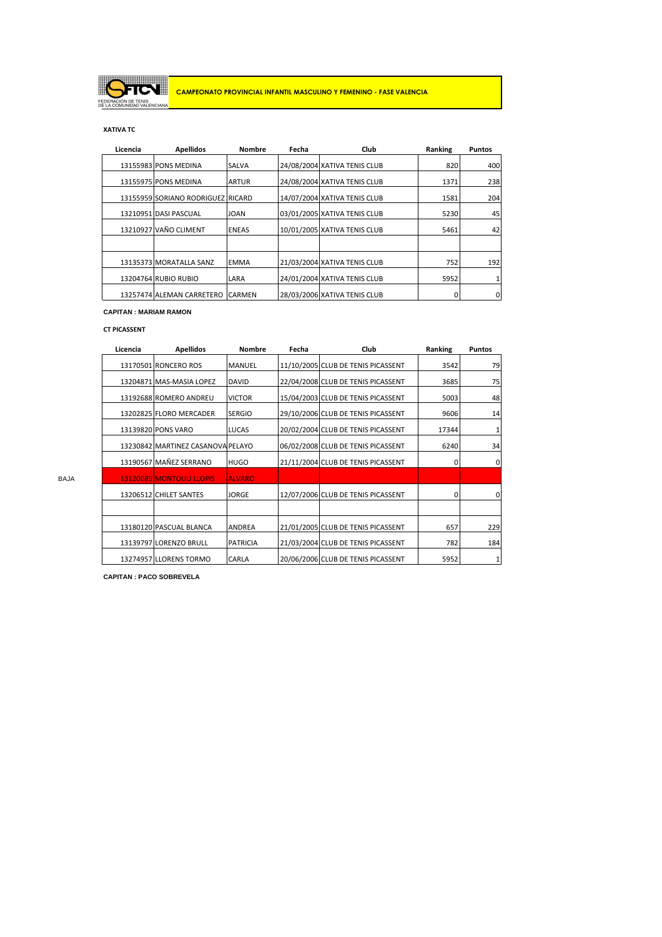

# **XATIVA TC**

| Licencia | <b>Apellidos</b>                  |               | Fecha | Club                         | Ranking | <b>Puntos</b> |
|----------|-----------------------------------|---------------|-------|------------------------------|---------|---------------|
|          | 13155983 PONS MEDINA              | <b>SALVA</b>  |       | 24/08/2004 XATIVA TENIS CLUB | 820     | 400           |
|          | 13155975 PONS MEDINA              | <b>ARTUR</b>  |       | 24/08/2004 XATIVA TENIS CLUB | 1371    | 238           |
|          | 13155959 SORIANO RODRIGUEZ RICARD |               |       | 14/07/2004 XATIVA TENIS CLUB | 1581    | 204           |
|          | 13210951 DASI PASCUAL             | <b>JOAN</b>   |       | 03/01/2005 XATIVA TENIS CLUB | 5230    | 45            |
|          | 13210927 VAÑO CLIMENT             | <b>ENEAS</b>  |       | 10/01/2005 XATIVA TENIS CLUB | 5461    | 42            |
|          |                                   |               |       |                              |         |               |
|          | 13135373 MORATALLA SANZ           | <b>EMMA</b>   |       | 21/03/2004 XATIVA TENIS CLUB | 752     | 192           |
|          | 13204764 RUBIO RUBIO              | LARA          |       | 24/01/2004 XATIVA TENIS CLUB | 5952    |               |
|          | 13257474 ALEMAN CARRETERO         | <b>CARMEN</b> |       | 28/03/2006 XATIVA TENIS CLUB | 0       | 0             |

#### **CAPITAN : MARIAM RAMON**

# **CT PICASSENT**

|      | Licencia | <b>Apellidos</b>                  | <b>Nombre</b>   | Fecha | Club                               | Ranking      | <b>Puntos</b> |
|------|----------|-----------------------------------|-----------------|-------|------------------------------------|--------------|---------------|
|      |          | 13170501 RONCERO ROS              | <b>MANUEL</b>   |       | 11/10/2005 CLUB DE TENIS PICASSENT | 3542         | 79            |
|      |          | 13204871 MAS-MASIA LOPEZ          | <b>DAVID</b>    |       | 22/04/2008 CLUB DE TENIS PICASSENT | 3685         | 75            |
|      |          | 13192688 ROMERO ANDREU            | <b>VICTOR</b>   |       | 15/04/2003 CLUB DE TENIS PICASSENT | 5003         | 48            |
|      |          | 13202825 FLORO MERCADER           | <b>SERGIO</b>   |       | 29/10/2006 CLUB DE TENIS PICASSENT | 9606         | 14            |
|      |          | 13139820 PONS VARO                | <b>LUCAS</b>    |       | 20/02/2004 CLUB DE TENIS PICASSENT | 17344        |               |
|      |          | 13230842 MARTINEZ CASANOVA PELAYO |                 |       | 06/02/2008 CLUB DE TENIS PICASSENT | 6240         | 34            |
|      |          | 13190567 MAÑEZ SERRANO            | <b>HUGO</b>     |       | 21/11/2004 CLUB DE TENIS PICASSENT | $\Omega$     | $\mathbf 0$   |
| BAJA |          | <b>13120085 MONTOLIU LLOPIS</b>   | <b>ALVARO</b>   |       |                                    |              |               |
|      |          | 13206512 CHILET SANTES            | <b>JORGE</b>    |       | 12/07/2006 CLUB DE TENIS PICASSENT | <sup>0</sup> | $\mathbf 0$   |
|      |          |                                   |                 |       |                                    |              |               |
|      |          | 13180120 PASCUAL BLANCA           | <b>ANDREA</b>   |       | 21/01/2005 CLUB DE TENIS PICASSENT | 657          | 229           |
|      |          | 13139797 LORENZO BRULL            | <b>PATRICIA</b> |       | 21/03/2004 CLUB DE TENIS PICASSENT | 782          | 184           |
|      |          | 13274957 LLORENS TORMO            | <b>CARLA</b>    |       | 20/06/2006 CLUB DE TENIS PICASSENT | 5952         | 1             |

**CAPITAN : PACO SOBREVELA**